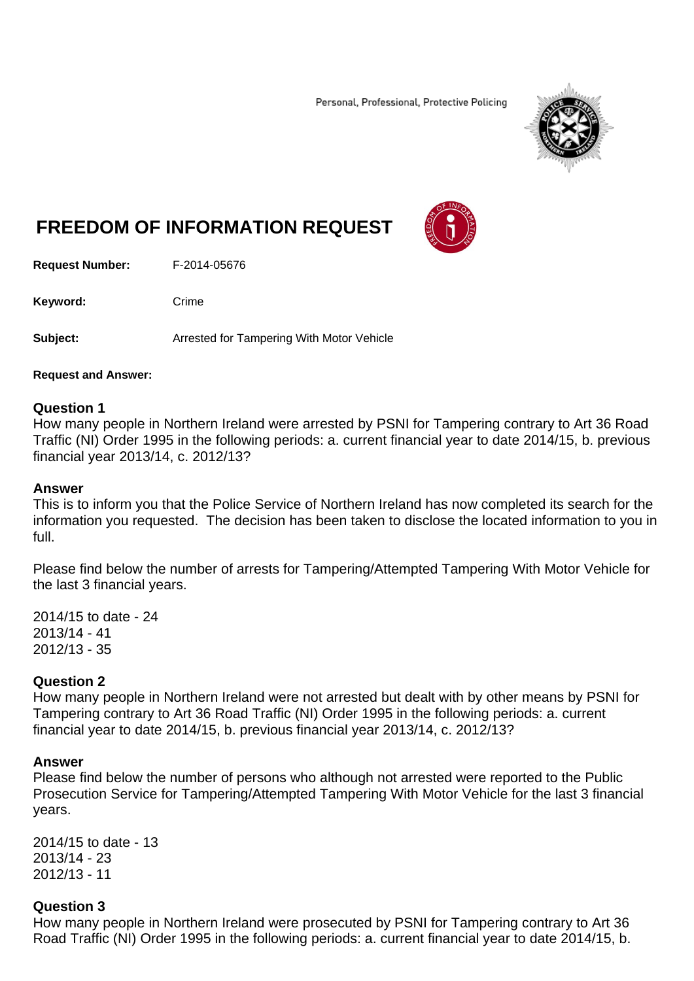Personal, Professional, Protective Policing



# **FREEDOM OF INFORMATION REQUEST**

**Request Number:** F-2014-05676

Keyword: Crime

**Subject:** Arrested for Tampering With Motor Vehicle

### **Request and Answer:**

### **Question 1**

How many people in Northern Ireland were arrested by PSNI for Tampering contrary to Art 36 Road Traffic (NI) Order 1995 in the following periods: a. current financial year to date 2014/15, b. previous financial year 2013/14, c. 2012/13?

#### **Answer**

This is to inform you that the Police Service of Northern Ireland has now completed its search for the information you requested. The decision has been taken to disclose the located information to you in full.

Please find below the number of arrests for Tampering/Attempted Tampering With Motor Vehicle for the last 3 financial years.

2014/15 to date - 24 2013/14 - 41 2012/13 - 35

### **Question 2**

How many people in Northern Ireland were not arrested but dealt with by other means by PSNI for Tampering contrary to Art 36 Road Traffic (NI) Order 1995 in the following periods: a. current financial year to date 2014/15, b. previous financial year 2013/14, c. 2012/13?

### **Answer**

Please find below the number of persons who although not arrested were reported to the Public Prosecution Service for Tampering/Attempted Tampering With Motor Vehicle for the last 3 financial years.

2014/15 to date - 13 2013/14 - 23 2012/13 - 11

### **Question 3**

How many people in Northern Ireland were prosecuted by PSNI for Tampering contrary to Art 36 Road Traffic (NI) Order 1995 in the following periods: a. current financial year to date 2014/15, b.